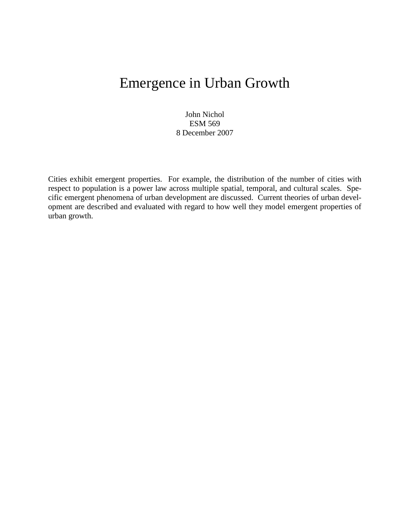# Emergence in Urban Growth

John Nichol ESM 569 8 December 2007

Cities exhibit emergent properties. For example, the distribution of the number of cities with respect to population is a power law across multiple spatial, temporal, and cultural scales. Specific emergent phenomena of urban development are discussed. Current theories of urban development are described and evaluated with regard to how well they model emergent properties of urban growth.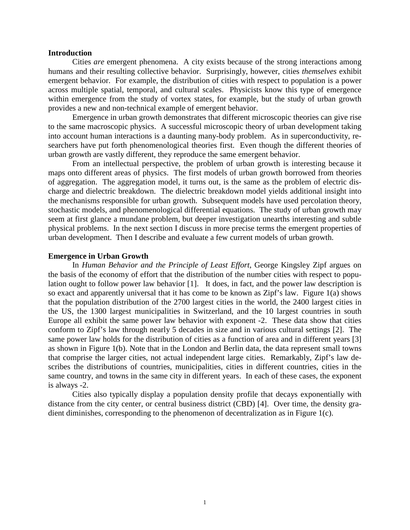### **Introduction**

Cities *are* emergent phenomena. A city exists because of the strong interactions among humans and their resulting collective behavior. Surprisingly, however, cities *themselves* exhibit emergent behavior. For example, the distribution of cities with respect to population is a power across multiple spatial, temporal, and cultural scales. Physicists know this type of emergence within emergence from the study of vortex states, for example, but the study of urban growth provides a new and non-technical example of emergent behavior.

Emergence in urban growth demonstrates that different microscopic theories can give rise to the same macroscopic physics. A successful microscopic theory of urban development taking into account human interactions is a daunting many-body problem. As in superconductivity, researchers have put forth phenomenological theories first. Even though the different theories of urban growth are vastly different, they reproduce the same emergent behavior.

From an intellectual perspective, the problem of urban growth is interesting because it maps onto different areas of physics. The first models of urban growth borrowed from theories of aggregation. The aggregation model, it turns out, is the same as the problem of electric discharge and dielectric breakdown. The dielectric breakdown model yields additional insight into the mechanisms responsible for urban growth. Subsequent models have used percolation theory, stochastic models, and phenomenological differential equations. The study of urban growth may seem at first glance a mundane problem, but deeper investigation unearths interesting and subtle physical problems. In the next section I discuss in more precise terms the emergent properties of urban development. Then I describe and evaluate a few current models of urban growth.

#### **Emergence in Urban Growth**

 In *Human Behavior and the Principle of Least Effort*, George Kingsley Zipf argues on the basis of the economy of effort that the distribution of the number cities with respect to population ought to follow power law behavior [1]. It does, in fact, and the power law description is so exact and apparently universal that it has come to be known as Zipf's law. Figure 1(a) shows that the population distribution of the 2700 largest cities in the world, the 2400 largest cities in the US, the 1300 largest municipalities in Switzerland, and the 10 largest countries in south Europe all exhibit the same power law behavior with exponent -2. These data show that cities conform to Zipf's law through nearly 5 decades in size and in various cultural settings [2]. The same power law holds for the distribution of cities as a function of area and in different years [3] as shown in Figure 1(b). Note that in the London and Berlin data, the data represent small towns that comprise the larger cities, not actual independent large cities. Remarkably, Zipf's law describes the distributions of countries, municipalities, cities in different countries, cities in the same country, and towns in the same city in different years. In each of these cases, the exponent is always -2.

 Cities also typically display a population density profile that decays exponentially with distance from the city center, or central business district (CBD) [4]. Over time, the density gradient diminishes, corresponding to the phenomenon of decentralization as in Figure 1(c).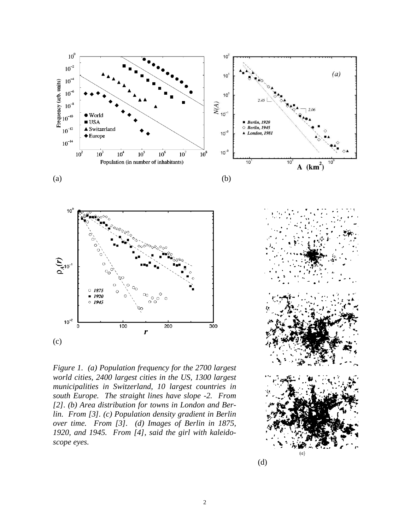

*Figure 1. (a) Population frequency for the 2700 largest world cities, 2400 largest cities in the US, 1300 largest municipalities in Switzerland, 10 largest countries in south Europe. The straight lines have slope -2. From [2]. (b) Area distribution for towns in London and Berlin. From [3]. (c) Population density gradient in Berlin over time. From [3]. (d) Images of Berlin in 1875, 1920, and 1945. From [4], said the girl with kaleidoscope eyes.* 



 $(a)$ 

 $10^3$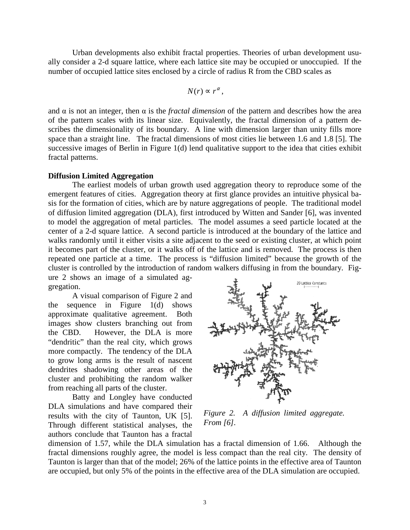Urban developments also exhibit fractal properties. Theories of urban development usually consider a 2-d square lattice, where each lattice site may be occupied or unoccupied. If the number of occupied lattice sites enclosed by a circle of radius R from the CBD scales as

$$
N(r) \propto r^{\alpha},
$$

and  $\alpha$  is not an integer, then  $\alpha$  is the *fractal dimension* of the pattern and describes how the area of the pattern scales with its linear size. Equivalently, the fractal dimension of a pattern describes the dimensionality of its boundary. A line with dimension larger than unity fills more space than a straight line. The fractal dimensions of most cities lie between 1.6 and 1.8 [5]. The successive images of Berlin in Figure 1(d) lend qualitative support to the idea that cities exhibit fractal patterns.

## **Diffusion Limited Aggregation**

The earliest models of urban growth used aggregation theory to reproduce some of the emergent features of cities. Aggregation theory at first glance provides an intuitive physical basis for the formation of cities, which are by nature aggregations of people. The traditional model of diffusion limited aggregation (DLA), first introduced by Witten and Sander [6], was invented to model the aggregation of metal particles. The model assumes a seed particle located at the center of a 2-d square lattice. A second particle is introduced at the boundary of the lattice and walks randomly until it either visits a site adjacent to the seed or existing cluster, at which point it becomes part of the cluster, or it walks off of the lattice and is removed. The process is then repeated one particle at a time. The process is "diffusion limited" because the growth of the cluster is controlled by the introduction of random walkers diffusing in from the boundary. Figure 2 shows an image of a simulated ag-

gregation.

A visual comparison of Figure 2 and the sequence in Figure 1(d) shows approximate qualitative agreement. Both images show clusters branching out from the CBD. However, the DLA is more "dendritic" than the real city, which grows more compactly. The tendency of the DLA to grow long arms is the result of nascent dendrites shadowing other areas of the cluster and prohibiting the random walker from reaching all parts of the cluster.

Batty and Longley have conducted DLA simulations and have compared their results with the city of Taunton, UK [5]. Through different statistical analyses, the authors conclude that Taunton has a fractal



*Figure 2. A diffusion limited aggregate. From [6].* 

dimension of 1.57, while the DLA simulation has a fractal dimension of 1.66. Although the fractal dimensions roughly agree, the model is less compact than the real city. The density of Taunton is larger than that of the model; 26% of the lattice points in the effective area of Taunton are occupied, but only 5% of the points in the effective area of the DLA simulation are occupied.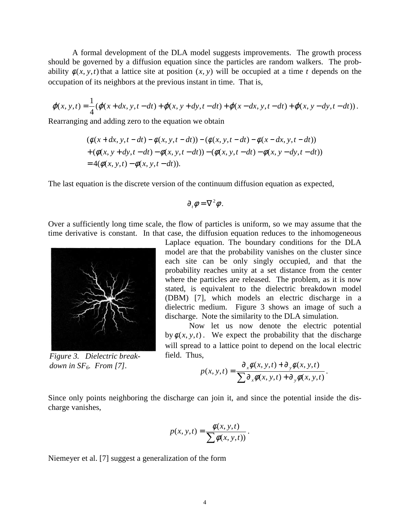A formal development of the DLA model suggests improvements. The growth process should be governed by a diffusion equation since the particles are random walkers. The probability  $\phi(x, y, t)$  that a lattice site at position  $(x, y)$  will be occupied at a time *t* depends on the occupation of its neighbors at the previous instant in time. That is,

$$
\varphi(x, y, t) = \frac{1}{4} (\varphi(x + dx, y, t - dt) + \varphi(x, y + dy, t - dt) + \varphi(x - dx, y, t - dt) + \varphi(x, y - dy, t - dt)).
$$

Rearranging and adding zero to the equation we obtain

$$
(\phi(x+dx, y, t - dt) - \phi(x, y, t - dt)) - (\phi(x, y, t - dt) - \phi(x - dx, y, t - dt))
$$
  
+ (\phi(x, y + dy, t - dt) - \phi(x, y, t - dt)) - (\phi(x, y, t - dt) - \phi(x, y - dy, t - dt))  
= 4(\phi(x, y, t) - \phi(x, y, t - dt)).

The last equation is the discrete version of the continuum diffusion equation as expected,

$$
\partial_{t}\phi=\nabla^{2}\phi.
$$

Over a sufficiently long time scale, the flow of particles is uniform, so we may assume that the time derivative is constant. In that case, the diffusion equation reduces to the inhomogeneous



*Figure 3. Dielectric breakdown in SF6. From [7].*

Laplace equation. The boundary conditions for the DLA model are that the probability vanishes on the cluster since each site can be only singly occupied, and that the probability reaches unity at a set distance from the center where the particles are released. The problem, as it is now stated, is equivalent to the dielectric breakdown model (DBM) [7], which models an electric discharge in a dielectric medium. Figure 3 shows an image of such a discharge. Note the similarity to the DLA simulation.

Now let us now denote the electric potential by  $\phi(x, y, t)$ . We expect the probability that the discharge will spread to a lattice point to depend on the local electric field. Thus,

$$
p(x, y, t) = \frac{\partial_x \phi(x, y, t) + \partial_y \phi(x, y, t)}{\sum \partial_x \phi(x, y, t) + \partial_y \phi(x, y, t)}.
$$

Since only points neighboring the discharge can join it, and since the potential inside the discharge vanishes,

$$
p(x, y, t) = \frac{\phi(x, y, t)}{\sum \phi(x, y, t)}.
$$

Niemeyer et al. [7] suggest a generalization of the form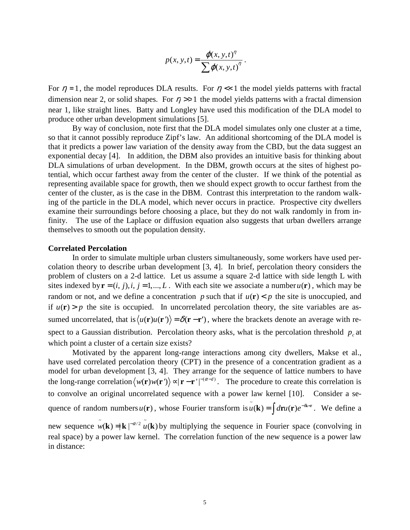$$
p(x, y, t) = \frac{\varphi(x, y, t)^{\eta}}{\sum \varphi(x, y, t)^{\eta}}.
$$

For  $\eta = 1$ , the model reproduces DLA results. For  $\eta \ll 1$  the model yields patterns with fractal dimension near 2, or solid shapes. For  $\eta \gg 1$  the model yields patterns with a fractal dimension near 1, like straight lines. Batty and Longley have used this modification of the DLA model to produce other urban development simulations [5].

By way of conclusion, note first that the DLA model simulates only one cluster at a time, so that it cannot possibly reproduce Zipf's law. An additional shortcoming of the DLA model is that it predicts a power law variation of the density away from the CBD, but the data suggest an exponential decay [4]. In addition, the DBM also provides an intuitive basis for thinking about DLA simulations of urban development. In the DBM, growth occurs at the sites of highest potential, which occur farthest away from the center of the cluster. If we think of the potential as representing available space for growth, then we should expect growth to occur farthest from the center of the cluster, as is the case in the DBM. Contrast this interpretation to the random walking of the particle in the DLA model, which never occurs in practice. Prospective city dwellers examine their surroundings before choosing a place, but they do not walk randomly in from infinity. The use of the Laplace or diffusion equation also suggests that urban dwellers arrange themselves to smooth out the population density.

#### **Correlated Percolation**

In order to simulate multiple urban clusters simultaneously, some workers have used percolation theory to describe urban development [3, 4]. In brief, percolation theory considers the problem of clusters on a 2-d lattice. Let us assume a square 2-d lattice with side length L with sites indexed by  $\mathbf{r} = (i, j), i, j = 1, \dots, L$ . With each site we associate a number  $u(\mathbf{r})$ , which may be random or not, and we define a concentration p such that if  $u(\mathbf{r}) < p$  the site is unoccupied, and if  $u(\mathbf{r}) > p$  the site is occupied. In uncorrelated percolation theory, the site variables are assumed uncorrelated, that is  $\langle u(\mathbf{r})u(\mathbf{r'})\rangle = \delta(\mathbf{r}-\mathbf{r'})$ , where the brackets denote an average with respect to a Gaussian distribution. Percolation theory asks, what is the percolation threshold  $p_c$  at which point a cluster of a certain size exists?

Motivated by the apparent long-range interactions among city dwellers, Makse et al., have used correlated percolation theory (CPT) in the presence of a concentration gradient as a model for urban development [3, 4]. They arrange for the sequence of lattice numbers to have the long-range correlation  $\langle w(\mathbf{r})w(\mathbf{r'})\rangle \propto |\mathbf{r}-\mathbf{r'}|^{-(\alpha-d)}$ . The procedure to create this correlation is to convolve an original uncorrelated sequence with a power law kernel [10]. Consider a sequence of random numbers  $u(\mathbf{r})$ , whose Fourier transform is  $\tilde{u}(\mathbf{k}) = \int d\mathbf{r} u(\mathbf{r}) e^{-i\mathbf{k} \cdot \mathbf{r}}$ . We define a new sequence  $\tilde{w}(\mathbf{k}) = |\mathbf{k}|^{-\alpha/2} \tilde{u}(\mathbf{k})$  by multiplying the sequence in Fourier space (convolving in real space) by a power law kernel. The correlation function of the new sequence is a power law

in distance: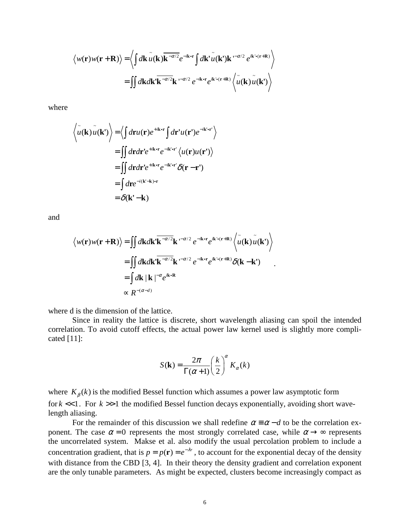$$
\langle w(\mathbf{r})w(\mathbf{r}+\mathbf{R})\rangle = \langle \int d\mathbf{k} \, \tilde{u}(\mathbf{k}) \overline{\mathbf{k}^{-\alpha/2}} e^{-i\mathbf{k}\cdot\mathbf{r}} \int d\mathbf{k}^{\dagger} \tilde{u}(\mathbf{k}^{\dagger}) \mathbf{k}^{(-\alpha/2)} e^{i\mathbf{k}\cdot\mathbf{r}(\mathbf{r}+\mathbf{R})} \rangle
$$
  
= 
$$
\int d\mathbf{k} d\mathbf{k}^{\dagger} \overline{\mathbf{k}^{-\alpha/2}} \mathbf{k}^{(-\alpha/2)} e^{-i\mathbf{k}\cdot\mathbf{r}} e^{i\mathbf{k}\cdot\mathbf{r}(\mathbf{r}+\mathbf{R})} \langle \tilde{u}(\mathbf{k}) \tilde{u}(\mathbf{k}^{\dagger}) \rangle
$$

where

$$
\langle \tilde{u}(\mathbf{k}) \tilde{u}(\mathbf{k'}) \rangle = \langle \int d\mathbf{r} u(\mathbf{r}) e^{+i\mathbf{k} \cdot \mathbf{r}} \int d\mathbf{r'} u(\mathbf{r'}) e^{-i\mathbf{k'} \cdot \mathbf{r'}} \rangle
$$
  
\n
$$
= \int \int d\mathbf{r} d\mathbf{r'} e^{+i\mathbf{k} \cdot \mathbf{r}} e^{-i\mathbf{k'} \cdot \mathbf{r'}} \langle u(\mathbf{r}) u(\mathbf{r'}) \rangle
$$
  
\n
$$
= \int \int d\mathbf{r} d\mathbf{r'} e^{+i\mathbf{k} \cdot \mathbf{r}} e^{-i\mathbf{k'} \cdot \mathbf{r'}} \delta(\mathbf{r} - \mathbf{r'})
$$
  
\n
$$
= \int d\mathbf{r} e^{-i(\mathbf{k'} - \mathbf{k}) \cdot \mathbf{r}}
$$
  
\n
$$
= \delta(\mathbf{k'} - \mathbf{k})
$$

and

$$
\langle w(\mathbf{r})w(\mathbf{r}+\mathbf{R})\rangle = \iint d\mathbf{k}d\mathbf{k}'\mathbf{k}^{-\alpha/2}\mathbf{k}^{(-\alpha/2)}e^{-i\mathbf{k}\cdot\mathbf{r}}e^{i\mathbf{k}\cdot\mathbf{r}(\mathbf{r}+\mathbf{R})}\langle\tilde{u}(\mathbf{k})\tilde{u}(\mathbf{k}')\rangle
$$
  
\n
$$
= \iint d\mathbf{k}d\mathbf{k}'\mathbf{k}^{-\alpha/2}\mathbf{k}^{(-\alpha/2)}e^{-i\mathbf{k}\cdot\mathbf{r}}e^{i\mathbf{k}\cdot\mathbf{r}(\mathbf{r}+\mathbf{R})}\delta(\mathbf{k}-\mathbf{k}')
$$
  
\n
$$
= \int d\mathbf{k}|\mathbf{k}|^{-\alpha}e^{i\mathbf{k}\cdot\mathbf{R}}
$$
  
\n
$$
\propto R^{-(\alpha-d)}
$$

where d is the dimension of the lattice.

 Since in reality the lattice is discrete, short wavelength aliasing can spoil the intended correlation. To avoid cutoff effects, the actual power law kernel used is slightly more complicated [11]:

$$
S(\mathbf{k}) = \frac{2\pi}{\Gamma(\alpha+1)} \left(\frac{k}{2}\right)^{\alpha} K_{\alpha}(k)
$$

where  $K_\beta(k)$  is the modified Bessel function which assumes a power law asymptotic form for  $k \ll 1$ . For  $k \gg 1$  the modified Bessel function decays exponentially, avoiding short wavelength aliasing.

For the remainder of this discussion we shall redefine  $\alpha = \alpha - d$  to be the correlation exponent. The case  $\alpha = 0$  represents the most strongly correlated case, while  $\alpha \rightarrow \infty$  represents the uncorrelated system. Makse et al. also modify the usual percolation problem to include a concentration gradient, that is  $p = p(\mathbf{r}) = e^{-\lambda r}$ , to account for the exponential decay of the density with distance from the CBD [3, 4]. In their theory the density gradient and correlation exponent are the only tunable parameters. As might be expected, clusters become increasingly compact as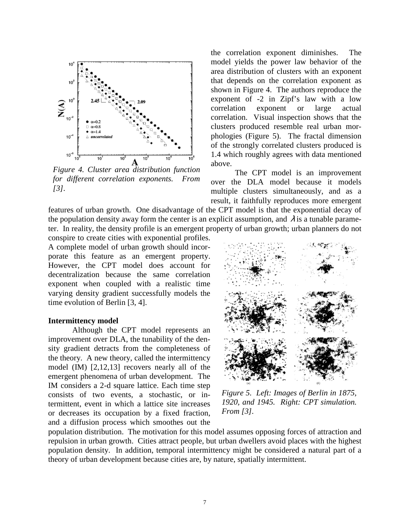

*Figure 4. Cluster area distribution function for different correlation exponents. From [3].* 

the correlation exponent diminishes. The model yields the power law behavior of the area distribution of clusters with an exponent that depends on the correlation exponent as shown in Figure 4. The authors reproduce the exponent of -2 in Zipf's law with a low correlation exponent or large actual correlation. Visual inspection shows that the clusters produced resemble real urban morphologies (Figure 5). The fractal dimension of the strongly correlated clusters produced is 1.4 which roughly agrees with data mentioned above.

 The CPT model is an improvement over the DLA model because it models multiple clusters simultaneously, and as a result, it faithfully reproduces more emergent

features of urban growth. One disadvantage of the CPT model is that the exponential decay of the population density away form the center is an explicit assumption, and  $\lambda$  is a tunable parameter. In reality, the density profile is an emergent property of urban growth; urban planners do not

conspire to create cities with exponential profiles. A complete model of urban growth should incorporate this feature as an emergent property. However, the CPT model does account for decentralization because the same correlation exponent when coupled with a realistic time varying density gradient successfully models the time evolution of Berlin [3, 4].

#### **Intermittency model**

Although the CPT model represents an improvement over DLA, the tunability of the density gradient detracts from the completeness of the theory. A new theory, called the intermittency model (IM) [2,12,13] recovers nearly all of the emergent phenomena of urban development. The IM considers a 2-d square lattice. Each time step consists of two events, a stochastic, or intermittent, event in which a lattice site increases or decreases its occupation by a fixed fraction, and a diffusion process which smoothes out the



*Figure 5. Left: Images of Berlin in 1875, 1920, and 1945. Right: CPT simulation. From [3].* 

population distribution. The motivation for this model assumes opposing forces of attraction and repulsion in urban growth. Cities attract people, but urban dwellers avoid places with the highest population density. In addition, temporal intermittency might be considered a natural part of a theory of urban development because cities are, by nature, spatially intermittent.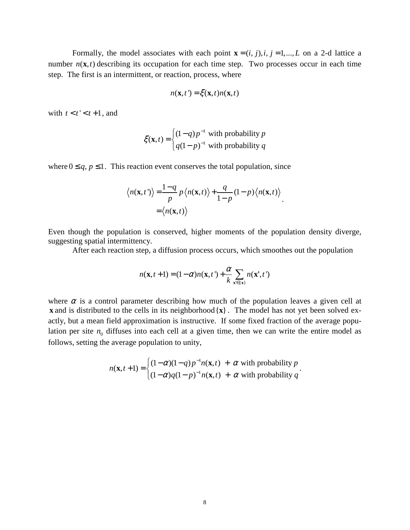Formally, the model associates with each point  $\mathbf{x} = (i, j), i, j = 1, \dots, L$  on a 2-d lattice a number  $n(\mathbf{x}, t)$  describing its occupation for each time step. Two processes occur in each time step. The first is an intermittent, or reaction, process, where

$$
n(\mathbf{x},t') = \xi(\mathbf{x},t)n(\mathbf{x},t)
$$

with  $t < t' < t + 1$ , and

$$
\xi(\mathbf{x},t) = \begin{cases} (1-q)p^{-1} & \text{with probability } p \\ q(1-p)^{-1} & \text{with probability } q \end{cases}
$$

where  $0 \leq q, p \leq 1$ . This reaction event conserves the total population, since

$$
\langle n(\mathbf{x},t')\rangle = \frac{1-q}{p} p \langle n(\mathbf{x},t)\rangle + \frac{q}{1-p} (1-p) \langle n(\mathbf{x},t)\rangle
$$
  
=  $\langle n(\mathbf{x},t)\rangle$ 

Even though the population is conserved, higher moments of the population density diverge, suggesting spatial intermittency.

After each reaction step, a diffusion process occurs, which smoothes out the population

$$
n(\mathbf{x}, t+1) = (1-\alpha)n(\mathbf{x}, t') + \frac{\alpha}{k} \sum_{\mathbf{x}' \in \{\mathbf{x}\}} n(\mathbf{x}', t')
$$

where  $\alpha$  is a control parameter describing how much of the population leaves a given cell at **x** and is distributed to the cells in its neighborhood  $\{x\}$ . The model has not yet been solved exactly, but a mean field approximation is instructive. If some fixed fraction of the average population per site  $n_0$  diffuses into each cell at a given time, then we can write the entire model as follows, setting the average population to unity,

$$
n(\mathbf{x}, t+1) = \begin{cases} (1-\alpha)(1-q)p^{-1}n(\mathbf{x}, t) + \alpha & \text{with probability } p \\ (1-\alpha)q(1-p)^{-1}n(\mathbf{x}, t) + \alpha & \text{with probability } q \end{cases}.
$$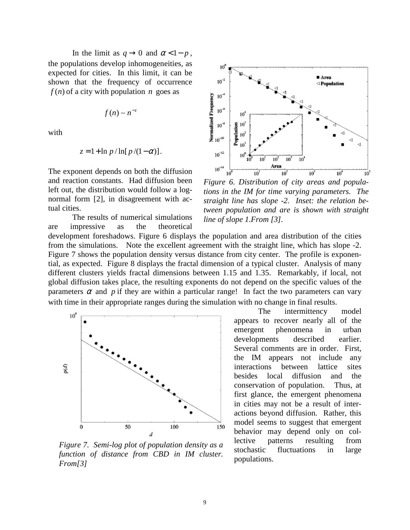In the limit as  $q \rightarrow 0$  and  $\alpha < 1 - p$ , the populations develop inhomogeneities, as expected for cities. In this limit, it can be shown that the frequency of occurrence  $f(n)$  of a city with population *n* goes as

$$
f(n) \sim n^{-z}
$$

with

$$
z = 1 + \ln p / \ln[p/(1-\alpha)].
$$

The exponent depends on both the diffusion and reaction constants. Had diffusion been left out, the distribution would follow a lognormal form [2], in disagreement with actual cities.

 The results of numerical simulations are impressive as the theoretical development foreshadows. Figure 6 displays the population and area distribution of the cities from the simulations. Note the excellent agreement with the straight line, which has slope -2. Figure 7 shows the population density versus distance from city center. The profile is exponential, as expected. Figure 8 displays the fractal dimension of a typical cluster. Analysis of many different clusters yields fractal dimensions between 1.15 and 1.35. Remarkably, if local, not global diffusion takes place, the resulting exponents do not depend on the specific values of the parameters  $\alpha$  and  $\beta$  if they are within a particular range! In fact the two parameters can vary



*Figure 7. Semi-log plot of population density as a function of distance from CBD in IM cluster. From[3]*



*Figure 6. Distribution of city areas and populations in the IM for time varying parameters. The straight line has slope -2. Inset: the relation between population and are is shown with straight line of slope 1.From [3].* 

with time in their appropriate ranges during the simulation with no change in final results. The intermittency model appears to recover nearly all of the emergent phenomena in urban developments described earlier. Several comments are in order. First, the IM appears not include any interactions between lattice sites besides local diffusion and the conservation of population. Thus, at first glance, the emergent phenomena in cities may not be a result of interactions beyond diffusion. Rather, this model seems to suggest that emergent behavior may depend only on collective patterns resulting from stochastic fluctuations in large populations.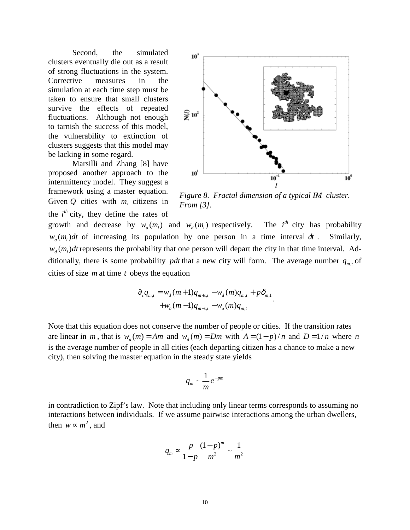Second, the simulated clusters eventually die out as a result of strong fluctuations in the system. Corrective measures in the simulation at each time step must be taken to ensure that small clusters survive the effects of repeated fluctuations. Although not enough to tarnish the success of this model, the vulnerability to extinction of clusters suggests that this model may be lacking in some regard.

 Marsilli and Zhang [8] have proposed another approach to the intermittency model. They suggest a framework using a master equation. Given  $Q$  cities with  $m_i$  citizens in the  $i<sup>th</sup>$  city, they define the rates of



*Figure 8. Fractal dimension of a typical IM cluster. From [3].* 

.

growth and decrease by  $w_a(m_i)$  and  $w_d(m_i)$  respectively. The *i*<sup>th</sup> city has probability  $w_a(m_i)dt$  of increasing its population by one person in a time interval  $dt$ . Similarly,  $w_a(m_i)dt$  represents the probability that one person will depart the city in that time interval. Additionally, there is some probability *pdt* that a new city will form. The average number  $q_{m,t}$  of cities of size *m* at time *t* obeys the equation

$$
\partial_t q_{m,t} = w_d (m+1) q_{m+1,t} - w_d (m) q_{m,t} + p \delta_{m,1} + w_a (m-1) q_{m-1,t} - w_a (m) q_{m,t}
$$

Note that this equation does not conserve the number of people or cities. If the transition rates are linear in *m*, that is  $w_a(m) = Am$  and  $w_a(m) = Dm$  with  $A = (1-p)/n$  and  $D = 1/n$  where *n* is the average number of people in all cities (each departing citizen has a chance to make a new city), then solving the master equation in the steady state yields

$$
q_m \sim \frac{1}{m} e^{-pm}
$$

in contradiction to Zipf's law. Note that including only linear terms corresponds to assuming no interactions between individuals. If we assume pairwise interactions among the urban dwellers, then  $w \sim m^2$ , and

$$
q_m \propto \frac{p}{1-p} \frac{(1-p)^m}{m^2} \sim \frac{1}{m^2}
$$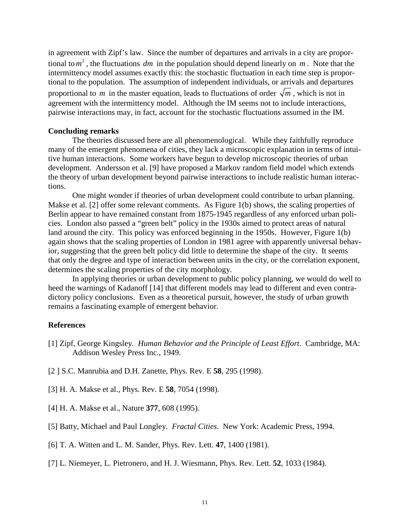in agreement with Zipf's law. Since the number of departures and arrivals in a city are proportional to  $m^2$ , the fluctuations *dm* in the population should depend linearly on *m*. Note that the intermittency model assumes exactly this: the stochastic fluctuation in each time step is proportional to the population. The assumption of independent individuals, or arrivals and departures proportional to *m* in the master equation, leads to fluctuations of order  $\sqrt{m}$ , which is not in agreement with the intermittency model. Although the IM seems not to include interactions, pairwise interactions may, in fact, account for the stochastic fluctuations assumed in the IM.

#### **Concluding remarks**

 The theories discussed here are all phenomenological. While they faithfully reproduce many of the emergent phenomena of cities, they lack a microscopic explanation in terms of intuitive human interactions. Some workers have begun to develop microscopic theories of urban development. Andersson et al. [9] have proposed a Markov random field model which extends the theory of urban development beyond pairwise interactions to include realistic human interactions.

 One might wonder if theories of urban development could contribute to urban planning. Makse et al. [2] offer some relevant comments. As Figure 1(b) shows, the scaling properties of Berlin appear to have remained constant from 1875-1945 regardless of any enforced urban policies. London also passed a "green belt" policy in the 1930s aimed to protect areas of natural land around the city. This policy was enforced beginning in the 1950s. However, Figure 1(b) again shows that the scaling properties of London in 1981 agree with apparently universal behavior, suggesting that the green belt policy did little to determine the shape of the city. It seems that only the degree and type of interaction between units in the city, or the correlation exponent, determines the scaling properties of the city morphology.

 In applying theories or urban development to public policy planning, we would do well to heed the warnings of Kadanoff [14] that different models may lead to different and even contradictory policy conclusions. Even as a theoretical pursuit, however, the study of urban growth remains a fascinating example of emergent behavior.

## **References**

- [1] Zipf, George Kingsley. *Human Behavior and the Principle of Least Effort*. Cambridge, MA: Addison Wesley Press Inc., 1949.
- [2 ] S.C. Manrubia and D.H. Zanette, Phys. Rev. E **58**, 295 (1998).
- [3] H. A. Makse et al., Phys. Rev. E **58**, 7054 (1998).
- [4] H. A. Makse et al., Nature **377**, 608 (1995).
- [5] Batty, Michael and Paul Longley. *Fractal Cities*. New York: Academic Press, 1994.
- [6] T. A. Witten and L. M. Sander, Phys. Rev. Lett. **47**, 1400 (1981).
- [7] L. Niemeyer, L. Pietronero, and H. J. Wiesmann, Phys. Rev. Lett. **52**, 1033 (1984).